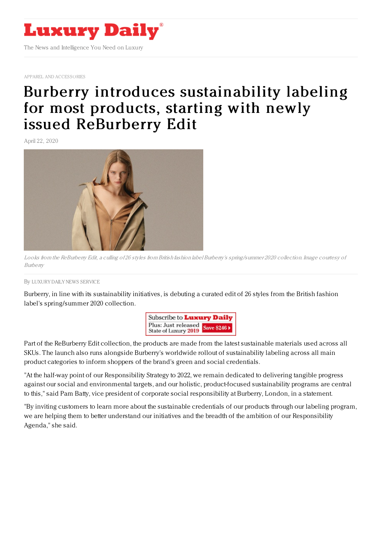

APPAREL AND [ACCESSORIES](https://www.luxurydaily.com/category/sectors/apparel-and-accessories/)

## Burberry introduces [sustainability](https://www.luxurydaily.com/burberry-introduces-sustainability-labeling-for-most-products-starting-with-newly-issued-reburberry-edit/) labeling for most products, starting with newly issued ReBurberry Edit

April 22, 2020



Looks from the ReBurberry Edit, <sup>a</sup> culling of 26 styles from British fashion label Burberry's spring/summer 2020 collection. Image courtesy of Burberry

## By LUXURY DAILY NEWS [SERVICE](file:///author/luxury-daily-news-service)

Burberry, in line with its sustainability initiatives, is debuting a curated edit of 26 styles from the British fashion label's spring/summer 2020 collection.



Part of the ReBurberry Edit collection, the products are made from the latest sustainable materials used across all SKUs. The launch also runs alongside Burberry's worldwide rollout of sustainability labeling across all main product categories to inform shoppers of the brand's green and social credentials.

"At the half-way point of our Responsibility Strategy to 2022, we remain dedicated to delivering tangible progress against our social and environmental targets, and our holistic, product-focused sustainability programs are central to this," said Pam Batty, vice president of corporate social responsibility at Burberry, London, in a statement.

"By inviting customers to learn more about the sustainable credentials of our products through our labeling program, we are helping them to better understand our initiatives and the breadth of the ambition of our Responsibility Agenda," she said.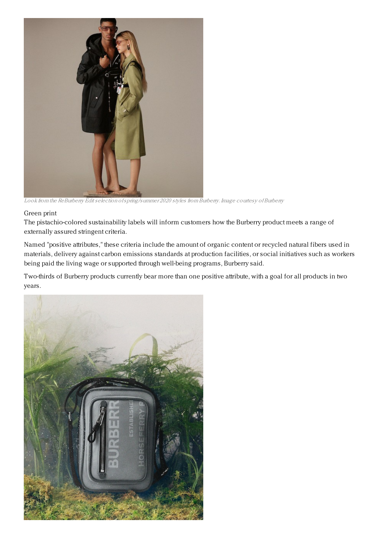

Look from the ReBurberry Edit selection of spring/summer 2020 styles from Burberry. Image courtesy of Burberry

## Green print

The pistachio-colored sustainability labels will inform customers how the Burberry product meets a range of externally assured stringent criteria.

Named "positive attributes," these criteria include the amount of organic content or recycled natural fibers used in materials, delivery against carbon emissions standards at production facilities, or social initiatives such as workers being paid the living wage or supported through well-being programs, Burberry said.

Two-thirds of Burberry products currently bear more than one positive attribute, with a goal for all products in two years.